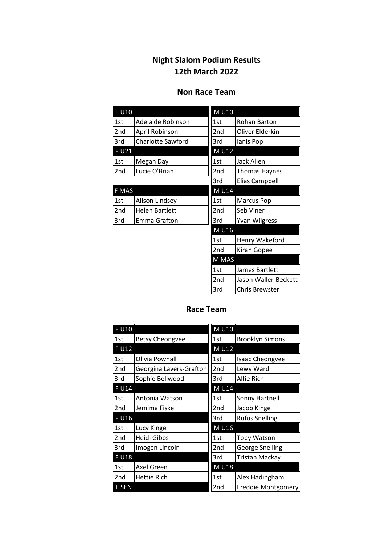## **Night Slalom Podium Results 12th March 2022**

## **Non Race Team**

| <b>FU10</b>     |                          | M U10 |                       |
|-----------------|--------------------------|-------|-----------------------|
| 1st             | Adelaide Robinson        | 1st   | Rohan Barton          |
| 2 <sub>nd</sub> | April Robinson           | 2nd   | Oliver Elderkin       |
| 3rd             | <b>Charlotte Sawford</b> | 3rd   | lanis Pop             |
| F U21           |                          | M U12 |                       |
| 1st             | Megan Day                | 1st   | Jack Allen            |
| 2nd             | Lucie O'Brian            | 2nd   | <b>Thomas Haynes</b>  |
|                 |                          | 3rd   | <b>Elias Campbell</b> |
| F MAS           |                          | M U14 |                       |
| 1st             | Alison Lindsey           | 1st   | <b>Marcus Pop</b>     |
| 2 <sub>nd</sub> | <b>Helen Bartlett</b>    | 2nd   | Seb Viner             |
| 3rd             | Emma Grafton             | 3rd   | <b>Yvan Wilgress</b>  |
|                 |                          | M U16 |                       |
|                 |                          | 1st   | Henry Wakeford        |
|                 |                          | 2nd   | Kiran Gopee           |
|                 |                          | M MAS |                       |
|                 |                          | 1st   | James Bartlett        |
|                 |                          | 2nd   | Jason Waller-Beckett  |
|                 |                          | 3rd   | <b>Chris Brewster</b> |

## **Race Team**

| F U10        |                         | M U10 |                        |
|--------------|-------------------------|-------|------------------------|
| 1st          | <b>Betsy Cheongvee</b>  | 1st   | <b>Brooklyn Simons</b> |
| F U12        |                         | M U12 |                        |
| 1st          | Olivia Pownall          | 1st   | <b>Isaac Cheongvee</b> |
| 2nd          | Georgina Lavers-Grafton | 2nd   | Lewy Ward              |
| 3rd          | Sophie Bellwood         | 3rd   | Alfie Rich             |
| F U14        |                         | M U14 |                        |
| 1st          | Antonia Watson          | 1st   | Sonny Hartnell         |
| 2nd          | Jemima Fiske            | 2nd   | Jacob Kinge            |
| F U16        |                         | 3rd   | <b>Rufus Snelling</b>  |
| 1st          | Lucy Kinge              | M U16 |                        |
| 2nd          | Heidi Gibbs             | 1st   | <b>Toby Watson</b>     |
| 3rd          | Imogen Lincoln          | 2nd   | <b>George Snelling</b> |
| <b>FU18</b>  |                         | 3rd   | <b>Tristan Mackay</b>  |
| 1st          | Axel Green              | M U18 |                        |
| 2nd          | <b>Hettie Rich</b>      | 1st   | Alex Hadingham         |
| <b>F SEN</b> |                         | 2nd   | Freddie Montgomery     |